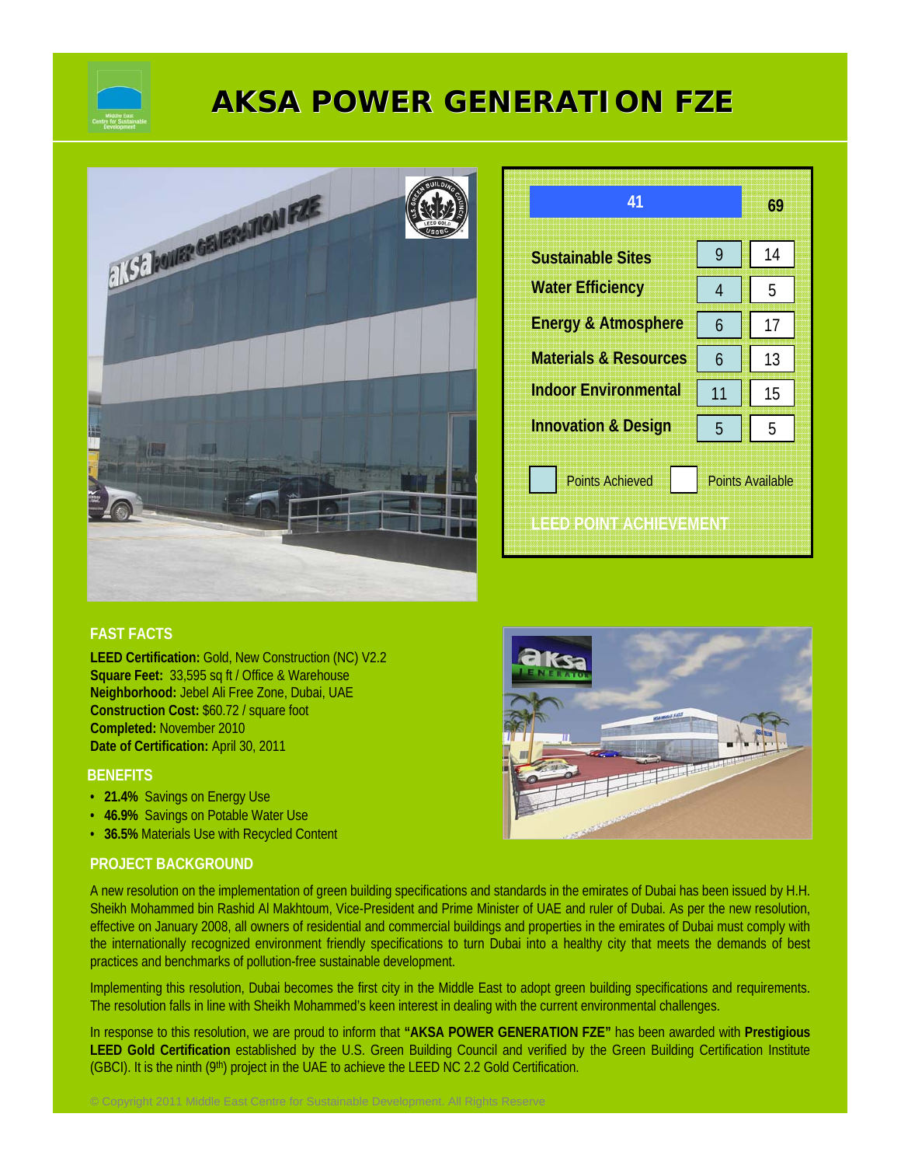

# **AKSA POWER GENERATION FZE AKSA POWER FZE**



| 41                                                                          |    | 69 |
|-----------------------------------------------------------------------------|----|----|
| <b>Sustainable Sites</b>                                                    | 9  | 14 |
| <b>Water Efficiency</b>                                                     | 4  | 5  |
| <b>Energy &amp; Atmosphere</b>                                              | 6  | 17 |
| <b>Materials &amp; Resources</b>                                            | 6  | 13 |
| <b>Indoor Environmental</b>                                                 | 11 | 15 |
| <b>Innovation &amp; Design</b>                                              | 5  | 5  |
| <b>Points Achieved</b><br><b>Points Available</b><br>LEED POINT ACHIEVEMENT |    |    |

# **FAST FACTS**

**LEED Certification:** Gold, New Construction (NC) V2.2 **Square Feet:** 33,595 sq ft / Office & Warehouse **Neighborhood:** Jebel Ali Free Zone, Dubai, UAE **Construction Cost:** \$60.72 / square foot **Completed:** November 2010 **Date of Certification:** April 30, 2011

#### **BENEFITS**

- **21.4%** Savings on Energy Use
- **46.9%** Savings on Potable Water Use
- **36.5%** Materials Use with Recycled Content

## **PROJECT BACKGROUND**

A new resolution on the implementation of green building specifications and standards in the emirates of Dubai has been issued by H.H. Sheikh Mohammed bin Rashid Al Makhtoum, Vice-President and Prime Minister of UAE and ruler of Dubai. As per the new resolution, effective on January 2008, all owners of residential and commercial buildings and properties in the emirates of Dubai must comply with the internationally recognized environment friendly specifications to turn Dubai into a healthy city that meets the demands of best practices and benchmarks of pollution-free sustainable development.

Implementing this resolution, Dubai becomes the first city in the Middle East to adopt green building specifications and requirements. The resolution falls in line with Sheikh Mohammed's keen interest in dealing with the current environmental challenges.

In response to this resolution, we are proud to inform that **"AKSA POWER GENERATION FZE"** has been awarded with **Prestigious LEED Gold Certification** established by the U.S. Green Building Council and verified by the Green Building Certification Institute (GBCI). It is the ninth (9<sup>th</sup>) project in the UAE to achieve the LEED NC 2.2 Gold Certification.

© Copyright 2011 Middle East Centre for Sustainable Development. All Rights Reserve